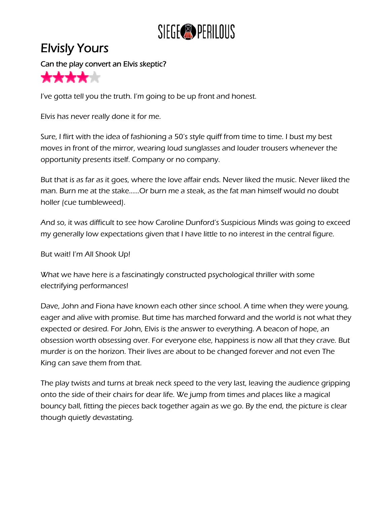

## Elvisly Yours

Can the play convert an Elvis skeptic?



I've gotta tell you the truth. I'm going to be up front and honest.

Elvis has never really done it for me.

Sure, I flirt with the idea of fashioning a 50's style quiff from time to time. I bust my best moves in front of the mirror, wearing loud sunglasses and louder trousers whenever the opportunity presents itself. Company or no company.

But that is as far as it goes, where the love affair ends. Never liked the music. Never liked the man. Burn me at the stake......Or burn me a steak, as the fat man himself would no doubt holler (cue tumbleweed).

And so, it was difficult to see how Caroline Dunford's Suspicious Minds was going to exceed my generally low expectations given that I have little to no interest in the central figure.

But wait! I'm All Shook Up!

What we have here is a fascinatingly constructed psychological thriller with some electrifying performances!

Dave, John and Fiona have known each other since school. A time when they were young, eager and alive with promise. But time has marched forward and the world is not what they expected or desired. For John, Elvis is the answer to everything. A beacon of hope, an obsession worth obsessing over. For everyone else, happiness is now all that they crave. But murder is on the horizon. Their lives are about to be changed forever and not even The King can save them from that.

The play twists and turns at break neck speed to the very last, leaving the audience gripping onto the side of their chairs for dear life. We jump from times and places like a magical bouncy ball, fitting the pieces back together again as we go. By the end, the picture is clear though quietly devastating.